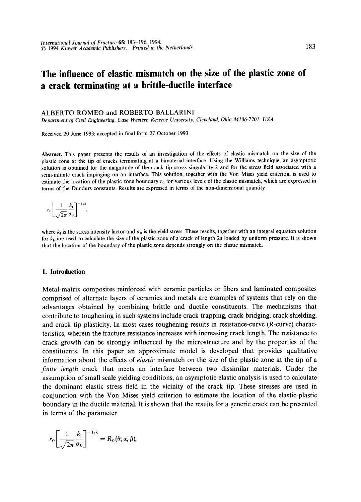# **The influence of elastic mismatch on the size of the plastic zone of a crack terminating at a brittle-ductile interface**

#### ALBERTO ROMEO and ROBERTO BALLARINI

*Department of Civil Engineeriny, Case Western Reserve University, Cleveland, Ohio 44106-7201, USA* 

Received 20 June 1993; accepted in final form 27 October 1993

Abstract. This paper presents the results of an investigation of the effects of elastic mismatch on the size of the plastic zone at the tip of cracks terminating at a bimaterial interface. Using the Williams technique, an asymptotic solution is obtained for the magnitude of the crack tip stress singularity  $\lambda$  and for the stress field associated with a semi-infinite crack impinging on an interface. This solution, together with the Von Mises yield criterion, is used to estimate the location of the plastic zone boundary  $r_0$  for various levels of the elastic mismatch, which are expressed in terms of the Dundurs constants. Results are expressed in terms of the non-dimensional quantity

$$
r_0\left[\frac{1}{\sqrt{2\pi}}\frac{k_1}{\sigma_0}\right]^{-1/\lambda},\,
$$

where  $k_i$  is the stress intensity factor and  $\sigma_0$  is the yield stress. These results, together with an integral equation solution for  $k_{\rm b}$  are used to calculate the size of the plastic zone of a crack of length 2a loaded by uniform pressure. It is shown that the location of the boundary of the plastic zone depends strongly on the elastic mismatch.

# **1. Introduction**

Metal-matrix composites reinforced with ceramic particles or fibers and laminated composites comprised of alternate layers of ceramics and metals are examples of systems that rely on the advantages obtained by combining brittle and ductile constituents. The mechanisms that contribute to toughening in such systems include crack trapping, crack bridging, crack shielding, and crack tip plasticity. In most cases toughening results in resistance-curve (R-curve) characteristics, wherein the fracture resistance increases with increasing crack length. The resistance to crack growth can be strongly influenced by the microstructure and by the properties of the constituents. In this paper an approximate model is developed that provides qualitative information about the effects of *elastic* mismatch on the size of the plastic zone at the tip of a *finite length* crack that meets an interface between two dissimilar materials. Under the assumption of small scale yielding conditions, an asymptotic elastic analysis is used to calculate the dominant elastic stress field in the vicinity of the crack tip. These stresses are used in conjunction with the Von Mises yield criterion to estimate the location of the elastic-plastic boundary in the ductile material. It is shown that the results for a generic crack can be presented in terms of the parameter

$$
r_0 \left[ \frac{1}{\sqrt{2\pi}} \frac{k_1}{\sigma_0} \right]^{-1/\lambda} = R_0(\theta; \alpha, \beta),
$$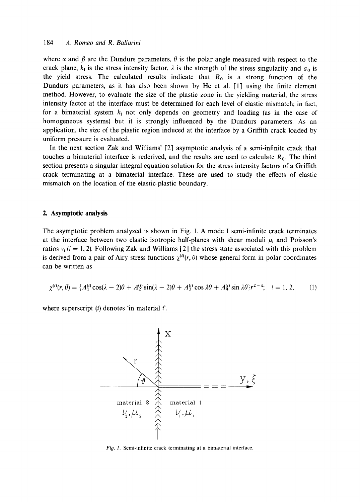where  $\alpha$  and  $\beta$  are the Dundurs parameters,  $\theta$  is the polar angle measured with respect to the crack plane,  $k_1$  is the stress intensity factor,  $\lambda$  is the strength of the stress singularity and  $\sigma_0$  is the yield stress. The calculated results indicate that  $R_0$  is a strong function of the Dundurs parameters, as it has also been shown by He et al. [1] using the finite element method. However, to evaluate the size of the plastic zone in the yielding material, the stress intensity factor at the interface must be determined for each level of elastic mismatch; in fact, for a bimaterial system  $k_1$  not only depends on geometry and loading (as in the case of homogeneous systems) but it is strongly influenced by the Dundurs parameters. As an application, the size of the plastic region induced at the interface by a Griffith crack loaded by uniform pressure is evaluated.

In the next section Zak and Williams' [2] asymptotic analysis of a semi-infinite crack that touches a bimaterial interface is rederived, and the results are used to calculate  $R_0$ . The third section presents a singular integral equation solution for the stress intensity factors of a Griffith crack terminating at a bimaterial interface. These are used to study the effects of elastic mismatch on the location of the elastic-plastic boundary.

# **2. Asymptotic analysis**

The asymptotic problem analyzed is shown in Fig. 1. A mode I semi-infinite crack terminates at the interface between two elastic isotropic half-planes with shear moduli  $\mu_i$  and Poisson's ratios  $v_i$  (i = 1, 2). Following Zak and Williams [2] the stress state associated with this problem is derived from a pair of Airy stress functions  $\chi^{(i)}(r, \theta)$  whose general form in polar coordinates can be written as

$$
\chi^{(i)}(r,\theta) = \{A_1^{(i)}\cos(\lambda - 2)\theta + A_2^{(i)}\sin(\lambda - 2)\theta + A_3^{(i)}\cos\lambda\theta + A_4^{(i)}\sin\lambda\theta\}r^{2-\lambda}; \quad i = 1, 2, \quad (1)
$$

where superscript  $(i)$  denotes 'in material  $i'$ .



*Fig. 1.* Semi-infinite crack terminating at a bimaterial interface.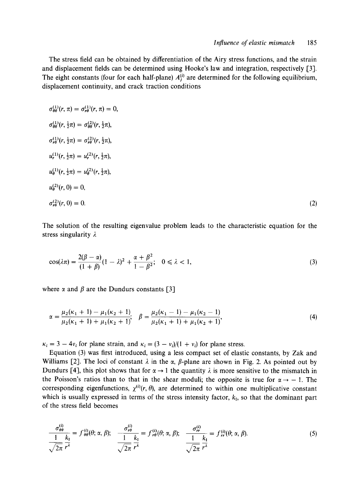The stress field can be obtained by differentiation of the Airy stress functions, and the strain and displacement fields can be determined using Hooke's law and integration, respectively [3]. The eight constants (four for each half-plane)  $A^{(i)}_j$  are determined for the following equilibrium, displacement continuity, and crack traction conditions

$$
\sigma_{\theta\theta}^{(1)}(r,\pi) = \sigma_{r\theta}^{(1)}(r,\pi) = 0,
$$
\n
$$
\sigma_{\theta\theta}^{(1)}(r,\frac{1}{2}\pi) = \sigma_{\theta\theta}^{(2)}(r,\frac{1}{2}\pi),
$$
\n
$$
\sigma_{r\theta}^{(1)}(r,\frac{1}{2}\pi) = \sigma_{r\theta}^{(2)}(r,\frac{1}{2}\pi),
$$
\n
$$
u_r^{(1)}(r,\frac{1}{2}\pi) = u_r^{(2)}(r,\frac{1}{2}\pi),
$$
\n
$$
u_{\theta}^{(1)}(r,\frac{1}{2}\pi) = u_{\theta}^{(2)}(r,\frac{1}{2}\pi),
$$
\n
$$
u_{\theta}^{(2)}(r,0) = 0,
$$
\n
$$
\sigma_{r\theta}^{(2)}(r,0) = 0.
$$
\n(2)

The solution of the resulting eigenvalue problem leads to the characteristic equation for the stress singularity  $\lambda$ 

$$
\cos(\lambda \pi) = \frac{2(\beta - \alpha)}{(1 + \beta)} (1 - \lambda)^2 + \frac{\alpha + \beta^2}{1 - \beta^2}; \quad 0 \le \lambda < 1,
$$
\n(3)

where  $\alpha$  and  $\beta$  are the Dundurs constants [3]

$$
\alpha = \frac{\mu_2(\kappa_1 + 1) - \mu_1(\kappa_2 + 1)}{\mu_2(\kappa_1 + 1) + \mu_1(\kappa_2 + 1)}; \quad \beta = \frac{\mu_2(\kappa_1 - 1) - \mu_1(\kappa_2 - 1)}{\mu_2(\kappa_1 + 1) + \mu_1(\kappa_2 + 1)}.
$$
\n(4)

 $\kappa_i = 3 - 4v_i$  for plane strain, and  $\kappa_i = (3 - v_i)/(1 + v_i)$  for plane stress.

Equation (3) was first introduced, using a less compact set of elastic constants, by Zak and Williams [2]. The loci of constant  $\lambda$  in the  $\alpha$ ,  $\beta$ -plane are shown in Fig. 2. As pointed out by Dundurs [4], this plot shows that for  $\alpha \rightarrow 1$  the quantity  $\lambda$  is more sensitive to the mismatch in the Poisson's ratios than to that in the shear moduli; the opposite is true for  $\alpha \rightarrow -1$ . The corresponding eigenfunctions,  $\chi^{(i)}(r, \theta)$ , are determined to within one multiplicative constant which is usually expressed in terms of the stress intensity factor,  $k<sub>1</sub>$ , so that the dominant part of the stress field becomes

$$
\frac{\sigma_{\theta\theta}^{(i)}}{\sqrt{2\pi}}\frac{k_1}{r^{\lambda}} = f_{\theta\theta}^{(i)}(\theta;\alpha,\beta); \quad \frac{\sigma_{r\theta}^{(i)}}{\sqrt{2\pi}} = f_{r\theta}^{(i)}(\theta;\alpha,\beta); \quad \frac{\sigma_{rr}^{(i)}}{\sqrt{2\pi}} = f_{rr}^{(i)}(\theta;\alpha,\beta).
$$
\n(5)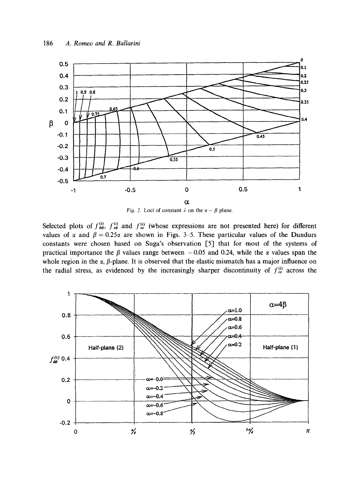



Selected plots of  $f_{\theta\theta}^{(i)}$ ,  $f_{\theta\theta}^{(i)}$  and  $f_{\theta\theta}^{(i)}$  (whose expressions are not presented here) for different values of  $\alpha$  and  $\beta = 0.25\alpha$  are shown in Figs. 3–5. These particular values of the Dundurs constants were chosen based on Suga's observation [5] that for most of the systems of practical importance the  $\beta$  values range between  $-0.05$  and 0.24, while the  $\alpha$  values span the whole region in the  $\alpha$ ,  $\beta$ -plane. It is observed that the elastic mismatch has a major influence on the radial stress, as evidenced by the increasingly sharper discontinuity of  $f^{(i)}_{rr}$  across the

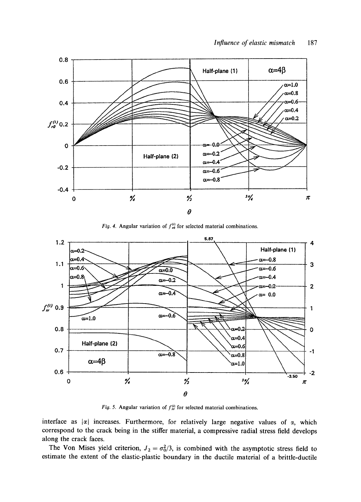

*Fig. 4.* Angular variation of  $f_{\rm ref}^{(i)}$  for selected material combinations.



*Fig. 5.* Angular variation of  $f<sub>r</sub><sup>(i)</sup>$  for selected material combinations.

interface as  $|\alpha|$  increases. Furthermore, for relatively large negative values of  $\alpha$ , which correspond to the crack being in the stiffer material, a compressive radial stress field develops along the crack faces.

The Von Mises yield criterion,  $J_2 = \sigma_0^2/3$ , is combined with the asymptotic stress field to estimate the extent of the elastic-plastic boundary in the ductile material of a brittle-ductile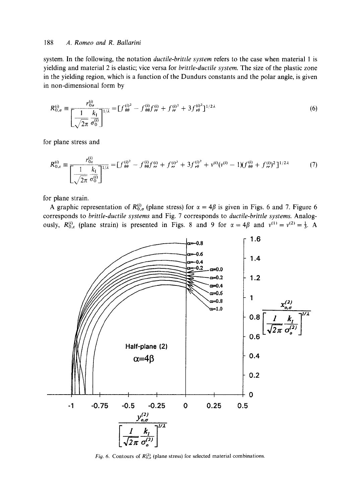# 188 *A. Romeo and R. Ballarini*

system. In the following, the notation *ductile-brittle system* refers to the case when material 1 is yielding and material 2 is elastic; vice versa for *brittle-ductile system.* The size of the plastic zone in the yielding region, which is a function of the Dundurs constants and the polar angle, is given in non-dimensional form by

$$
R_{0,\sigma}^{(i)} \equiv \frac{r_{0\sigma}^{(i)}}{\left[\frac{1}{\sqrt{2\pi}} \frac{k_1}{\sigma_0^{(i)}}\right]^{1/\lambda}} = [f_{\theta\theta}^{(i)^2} - f_{\theta\theta}^{(i)} f_{rr}^{(i)} + f_{rr}^{(i)^2} + 3 f_{r\theta}^{(i)^2}]^{1/2\lambda}
$$
(6)

for plane stress and

$$
R_{0,e}^{(i)} \equiv \frac{r_{0e}^{(i)}}{\left[\frac{1}{\sqrt{2\pi}} \frac{k_1}{\sigma_0^{(i)}}\right]^{1/\lambda}} = \left[f_{\theta\theta}^{(i)^2} - f_{\theta\theta}^{(i)} f_{rr}^{(i)} + f_{rr}^{(i)^2} + 3f_{r\theta}^{(i)^2} + v_{\theta}^{(i)} (v_{\theta}^{(i)} - 1)(f_{\theta\theta}^{(i)} + f_{rr}^{(i)})^2\right]^{1/2\lambda} \tag{7}
$$

for plane strain.

A graphic representation of  $R_{0,\sigma}^{(i)}$  (plane stress) for  $\alpha = 4\beta$  is given in Figs. 6 and 7. Figure 6 corresponds to *brittle-ductile systems* and Fig. 7 corresponds to *ductile-brittle systems.* Analogously,  $R_{0,\varepsilon}^{(i)}$  (plane strain) is presented in Figs. 8 and 9 for  $\alpha = 4\beta$  and  $v^{(1)} = v^{(2)} = \frac{1}{3}$ . A



*Fig. 6.* Contours of  $R_{0,\sigma}^{(2)}$  (plane stress) for selected material combinations.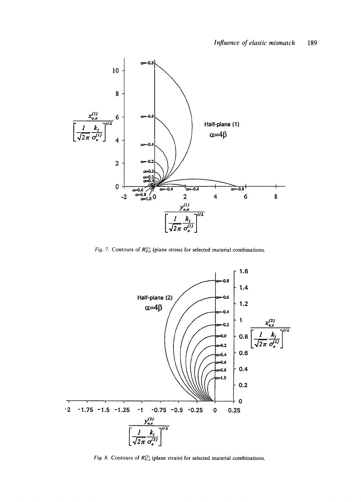

*Fig. 7.* Contours of  $R_{0,\sigma}^{(1)}$  (plane stress) for selected material combinations.



*Fig. 8.* Contours of  $R_{0,\varepsilon}^{(2)}$  (plane strain) for selected material combinations.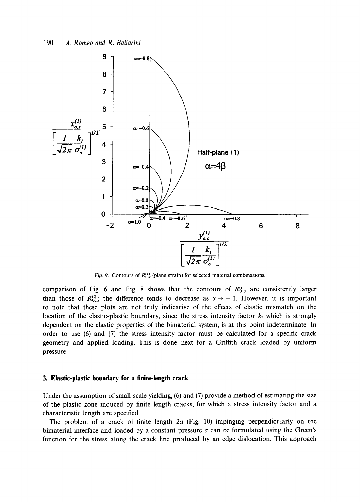

*Fig. 9.* Contours of  $R_{0,\varepsilon}^{(1)}$  (plane strain) for selected material combinations.

comparison of Fig. 6 and Fig. 8 shows that the contours of  $R_{0,\sigma}^{(i)}$  are consistently larger than those of  $R_{0,\varepsilon}^{(i)}$ ; the difference tends to decrease as  $\alpha \to -1$ . However, it is important to note that these plots are not truly indicative of the effects of elastic mismatch on the location of the elastic-plastic boundary, since the stress intensity factor  $k_i$  which is strongly dependent on the elastic properties of the bimaterial system, is at this point indeterminate. In order to use (6) and (7) the stress intensity factor must be calculated for a specific crack geometry and applied loading. This is done next for a Griffith crack loaded by uniform pressure.

#### **3. Elastic-plastic boundary for a finite-length crack**

Under the assumption of small-scale yielding, (6) and (7) provide a method of estimating the size of the plastic zone induced by finite length cracks, for which a stress intensity factor and a characteristic length are specified.

The problem of a crack of finite length  $2a$  (Fig. 10) impinging perpendicularly on the bimaterial interface and loaded by a constant pressure  $\sigma$  can be formulated using the Green's function for the stress along the crack line produced by an edge dislocation. This approach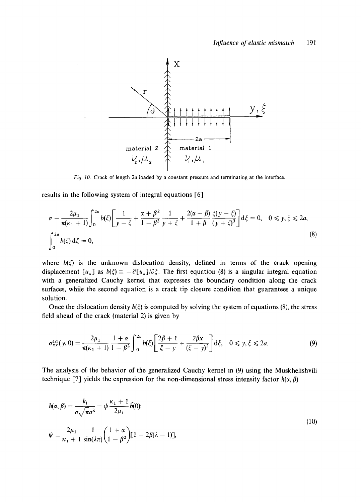

*Fig. 10.* Crack of length 2a loaded by a constant pressure and terminating at the interface.

results in the following system of integral equations [6]

$$
\sigma - \frac{2\mu_1}{\pi(\kappa_1 + 1)} \int_0^{2a} b(\xi) \left[ \frac{1}{y - \xi} + \frac{\alpha + \beta^2}{1 - \beta^2} \frac{1}{y + \xi} + \frac{2(\alpha - \beta)}{1 + \beta} \frac{\xi(y - \xi)}{(y + \xi)^3} \right] d\xi = 0, \quad 0 \le y, \xi \le 2a,
$$
  

$$
\int_0^{2a} b(\xi) d\xi = 0,
$$
 (8)

where  $b(\xi)$  is the unknown dislocation density, defined in terms of the crack opening displacement  $[u_x]$  as  $b(\xi) = -\partial[u_x]/\partial \xi$ . The first equation (8) is a singular integral equation with a generalized Cauchy kernel that expresses the boundary condition along the crack surfaces, while the second equation is a crack tip closure condition that guarantees a unique solution.

Once the dislocation density  $b(\xi)$  is computed by solving the system of equations (8), the stress field ahead of the crack (material 2) is given by

$$
\sigma_{xx}^{(2)}(y,0) = \frac{2\mu_1}{\pi(\kappa_1+1)} \frac{1+\alpha}{1-\beta^2} \int_0^{2a} b(\xi) \left[ \frac{2\beta+1}{\xi-y} + \frac{2\beta x}{(\xi-y)^2} \right] d\xi, \quad 0 \le y, \xi \le 2a. \tag{9}
$$

The analysis of the behavior of the generalized Cauchy kernel in (9) using the Muskhelishvili technique [7] yields the expression for the non-dimensional stress intensity factor  $h(\alpha, \beta)$ 

$$
h(\alpha, \beta) = \frac{k_1}{\sigma \sqrt{\pi a^{\lambda}}} = \psi \frac{\kappa_1 + 1}{2\mu_1} \hat{b}(0);
$$
  

$$
\psi \equiv \frac{2\mu_1}{\kappa_1 + 1} \frac{1}{\sin(\lambda \pi)} \left(\frac{1 + \alpha}{1 - \beta^2}\right) [1 - 2\beta(\lambda - 1)],
$$
\n(10)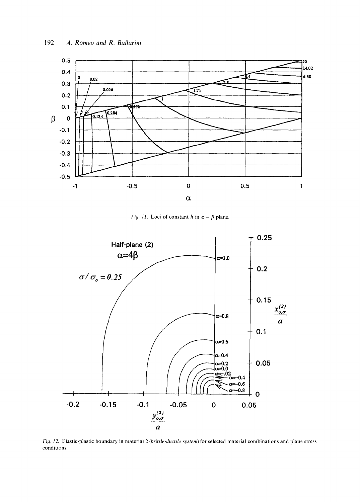

*Fig. 11.* Loci of constant h in  $\alpha - \beta$  plane.



*Fig. 12.* Elastic-plastic boundary in material 2 *(brittle-ductile system)* for selected material combinations and plane stress conditions.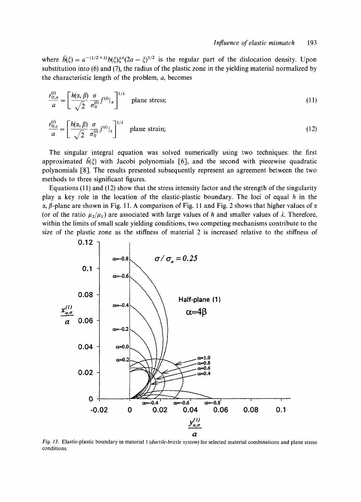where  $\hat{b}(\xi) = a^{-(1/2+\lambda)}b(\xi)\xi^{\lambda}(2a-\xi)^{1/2}$  is the regular part of the dislocation density. Upon substitution into (6) and (7), the radius of the plastic zone in the yielding material normalized by the characteristic length of the problem, a, becomes

$$
\frac{r_{0,\sigma}^{(i)}}{a} = \left[\frac{h(\alpha,\beta)}{\sqrt{2}} \frac{\sigma}{\sigma_0^{(i)}} f^{(i)}|_{\sigma}\right]^{1/\lambda} \quad \text{plane stress};
$$
\n(11)\n
$$
\frac{r_{0,\varepsilon}^{(i)}}{a} = \left[\frac{h(\alpha,\beta)}{\sqrt{2}} \frac{\sigma}{\sigma_0^{(i)}} f^{(i)}|_{\varepsilon}\right]^{1/\lambda} \quad \text{plane strain};
$$
\n(12)

The singular integral equation was solved numerically using two techniques: the first approximated  $\hat{b}(\xi)$  with Jacobi polynomials [6], and the second with piecewise quadratic polynomials [8]. The results presented subsequently represent an agreement between the two methods to three significant figures.

Equations (11) and (12) show that the stress intensity factor and the strength of the singularity play a key role in the location of the elastic-plastic boundary. The loci of equal  $h$  in the  $\alpha$ ,  $\beta$ -plane are shown in Fig. 11. A comparison of Fig. 11 and Fig. 2 shows that higher values of  $\alpha$ (or of the ratio  $\mu_2/\mu_1$ ) are associated with large values of h and smaller values of  $\lambda$ . Therefore, within the limits of small scale yielding conditions, two competing mechanisms contribute to the size of the plastic zone as the stiffness of material 2 is increased relative to the stiffness of



*Fi 9. 13.* Elastic-plastic boundary in material 1 *(ductile-brittle system)* for selected material combinations and plane stress conditions.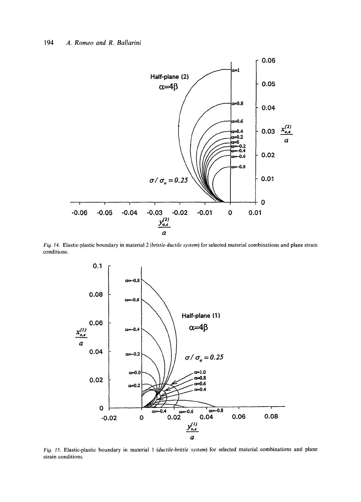

*Fig. 14.* Elastic-plastic boundary in material 2 *(brittle-ductile system)* for selected material combinations and plane strain conditions.



*Fig. 15.* Elastic-plastic boundary in material 1 *(ductile-brittle system)* for selected material combinations and plane strain conditions.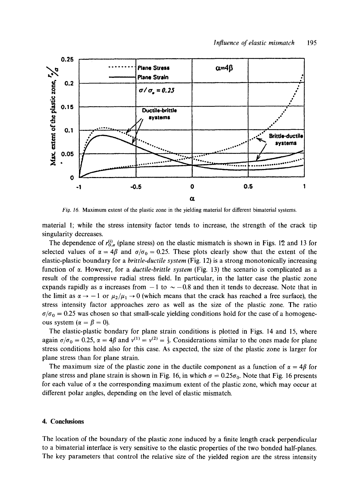

*Fig. 16.* Maximum extent of the plastic zone in the yielding material for different bimaterial systems.

material 1; while the stress intensity factor tends to increase, the strength of the crack tip singularity decreases.

The dependence of  $r_{0,\sigma}^{(i)}$  (plane stress) on the elastic mismatch is shown in Figs. 12 and 13 for selected values of  $\alpha = 4\beta$  and  $\sigma/\sigma_0 = 0.25$ . These plots clearly show that the extent of the elastic-plastic boundary for a *brittle-ductile system* (Fig. 12) is a strong monotonically increasing function of  $\alpha$ . However, for a *ductile-brittle system* (Fig. 13) the scenario is complicated as a result of the compressive radial stress field. In particular, in the latter case the plastic zone expands rapidly as  $\alpha$  increases from  $-1$  to  $\sim -0.8$  and then it tends to decrease. Note that in the limit as  $\alpha \rightarrow -1$  or  $\mu_2/\mu_1 \rightarrow 0$  (which means that the crack has reached a free surface), the stress intensity factor approaches zero as well as the size of the plastic zone. The ratio  $\sigma/\sigma_0 = 0.25$  was chosen so that small-scale yielding conditions hold for the case of a homogeneous system ( $\alpha = \beta = 0$ ).

The elastic-plastic bondary for plane strain conditions is plotted in Figs. 14 and 15, where again  $\sigma/\sigma_0 = 0.25$ ,  $\alpha = 4\beta$  and  $v^{(1)} = v^{(2)} = \frac{1}{3}$ . Considerations similar to the ones made for plane stress conditions hold also for this case. As expected, the size of the plastic zone is larger for plane stress than for plane strain.

The maximum size of the plastic zone in the ductile component as a function of  $\alpha = 4\beta$  for plane stress and plane strain is shown in Fig. 16, in which  $\sigma = 0.25\sigma_0$ . Note that Fig. 16 presents for each value of  $\alpha$  the corresponding maximum extent of the plastic zone, which may occur at different polar angles, depending on the level of elastic mismatch.

# **4. Conclusions**

The location of the boundary of the plastic zone induced by a finite length crack perpendicular to a bimaterial interface is very sensitive to the elastic properties of the two bonded half-planes. The key parameters that control the relative size of the yielded region are the stress intensity